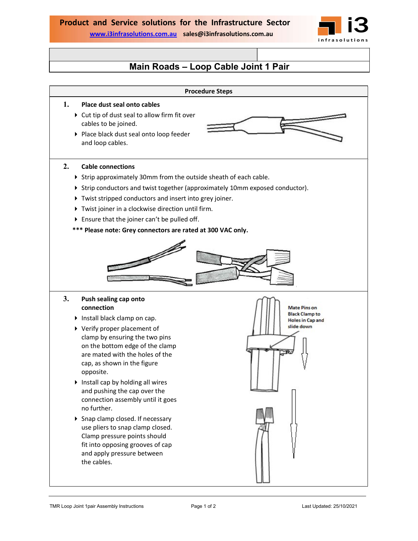

## Main Roads – Loop Cable Joint 1 Pair